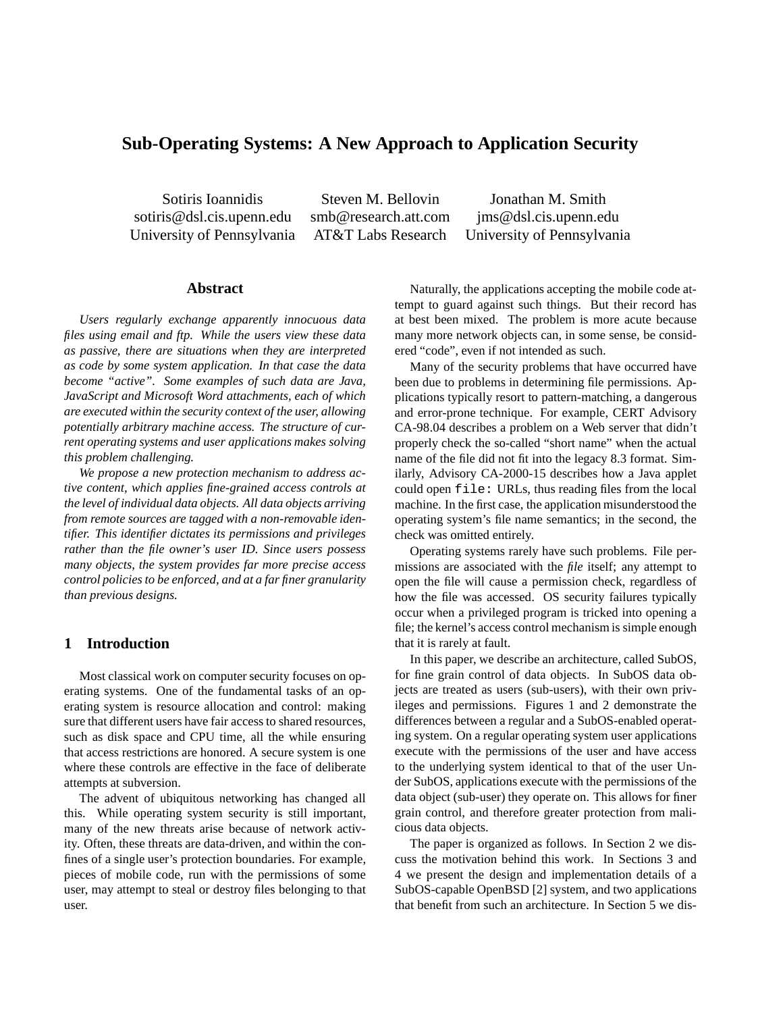# **Sub-Operating Systems: A New Approach to Application Security**

sotiris@dsl.cis.upenn.edu smb@research.att.com jms@dsl.cis.upenn.edu

Sotiris Ioannidis Steven M. Bellovin Jonathan M. Smith

University of Pennsylvania AT&T Labs Research University of Pennsylvania

# **Abstract**

*Users regularly exchange apparently innocuous data files using email and ftp. While the users view these data as passive, there are situations when they are interpreted as code by some system application. In that case the data become "active". Some examples of such data are Java, JavaScript and Microsoft Word attachments, each of which are executed within the security context of the user, allowing potentially arbitrary machine access. The structure of current operating systems and user applications makes solving this problem challenging.*

*We propose a new protection mechanism to address active content, which applies fine-grained access controls at the level of individual data objects. All data objects arriving from remote sources are tagged with a non-removable identifier. This identifier dictates its permissions and privileges rather than the file owner's user ID. Since users possess many objects, the system provides far more precise access control policies to be enforced, and at a far finer granularity than previous designs.*

# **1 Introduction**

Most classical work on computer security focuses on operating systems. One of the fundamental tasks of an operating system is resource allocation and control: making sure that different users have fair access to shared resources, such as disk space and CPU time, all the while ensuring that access restrictions are honored. A secure system is one where these controls are effective in the face of deliberate attempts at subversion.

The advent of ubiquitous networking has changed all this. While operating system security is still important, many of the new threats arise because of network activity. Often, these threats are data-driven, and within the confines of a single user's protection boundaries. For example, pieces of mobile code, run with the permissions of some user, may attempt to steal or destroy files belonging to that user.

Naturally, the applications accepting the mobile code attempt to guard against such things. But their record has at best been mixed. The problem is more acute because many more network objects can, in some sense, be considered "code", even if not intended as such.

Many of the security problems that have occurred have been due to problems in determining file permissions. Applications typically resort to pattern-matching, a dangerous and error-prone technique. For example, CERT Advisory CA-98.04 describes a problem on a Web server that didn't properly check the so-called "short name" when the actual name of the file did not fit into the legacy 8.3 format. Similarly, Advisory CA-2000-15 describes how a Java applet could open file: URLs, thus reading files from the local machine. In the first case, the application misunderstood the operating system's file name semantics; in the second, the check was omitted entirely.

Operating systems rarely have such problems. File permissions are associated with the *file* itself; any attempt to open the file will cause a permission check, regardless of how the file was accessed. OS security failures typically occur when a privileged program is tricked into opening a file; the kernel's access control mechanism is simple enough that it is rarely at fault.

In this paper, we describe an architecture, called SubOS, for fine grain control of data objects. In SubOS data objects are treated as users (sub-users), with their own privileges and permissions. Figures 1 and 2 demonstrate the differences between a regular and a SubOS-enabled operating system. On a regular operating system user applications execute with the permissions of the user and have access to the underlying system identical to that of the user Under SubOS, applications execute with the permissions of the data object (sub-user) they operate on. This allows for finer grain control, and therefore greater protection from malicious data objects.

The paper is organized as follows. In Section 2 we discuss the motivation behind this work. In Sections 3 and 4 we present the design and implementation details of a SubOS-capable OpenBSD [2] system, and two applications that benefit from such an architecture. In Section 5 we dis-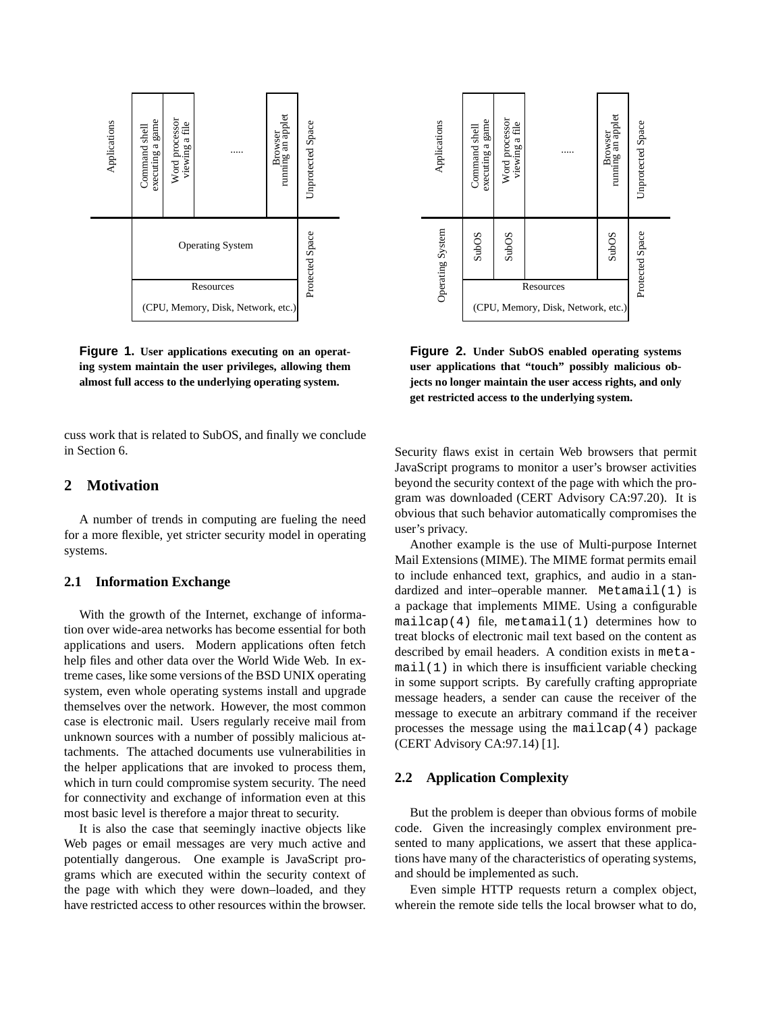

**Figure 1. User applications executing on an operating system maintain the user privileges, allowing them almost full access to the underlying operating system.**

cuss work that is related to SubOS, and finally we conclude in Section 6.

# **2 Motivation**

A number of trends in computing are fueling the need for a more flexible, yet stricter security model in operating systems.

### **2.1 Information Exchange**

With the growth of the Internet, exchange of information over wide-area networks has become essential for both applications and users. Modern applications often fetch help files and other data over the World Wide Web. In extreme cases, like some versions of the BSD UNIX operating system, even whole operating systems install and upgrade themselves over the network. However, the most common case is electronic mail. Users regularly receive mail from unknown sources with a number of possibly malicious attachments. The attached documents use vulnerabilities in the helper applications that are invoked to process them, which in turn could compromise system security. The need for connectivity and exchange of information even at this most basic level is therefore a major threat to security.

It is also the case that seemingly inactive objects like Web pages or email messages are very much active and potentially dangerous. One example is JavaScript programs which are executed within the security context of the page with which they were down–loaded, and they have restricted access to other resources within the browser.



**Figure 2. Under SubOS enabled operating systems user applications that "touch" possibly malicious objects no longer maintain the user access rights, and only get restricted access to the underlying system.**

Security flaws exist in certain Web browsers that permit JavaScript programs to monitor a user's browser activities beyond the security context of the page with which the program was downloaded (CERT Advisory CA:97.20). It is obvious that such behavior automatically compromises the user's privacy.

Another example is the use of Multi-purpose Internet Mail Extensions (MIME). The MIME format permits email to include enhanced text, graphics, and audio in a standardized and inter–operable manner. Metamail(1) is a package that implements MIME. Using a configurable  $mailcap(4)$  file, metamail(1) determines how to treat blocks of electronic mail text based on the content as described by email headers. A condition exists in meta $mail(1)$  in which there is insufficient variable checking in some support scripts. By carefully crafting appropriate message headers, a sender can cause the receiver of the message to execute an arbitrary command if the receiver processes the message using the mailcap $(4)$  package (CERT Advisory CA:97.14) [1].

# **2.2 Application Complexity**

But the problem is deeper than obvious forms of mobile code. Given the increasingly complex environment presented to many applications, we assert that these applications have many of the characteristics of operating systems, and should be implemented as such.

Even simple HTTP requests return a complex object, wherein the remote side tells the local browser what to do.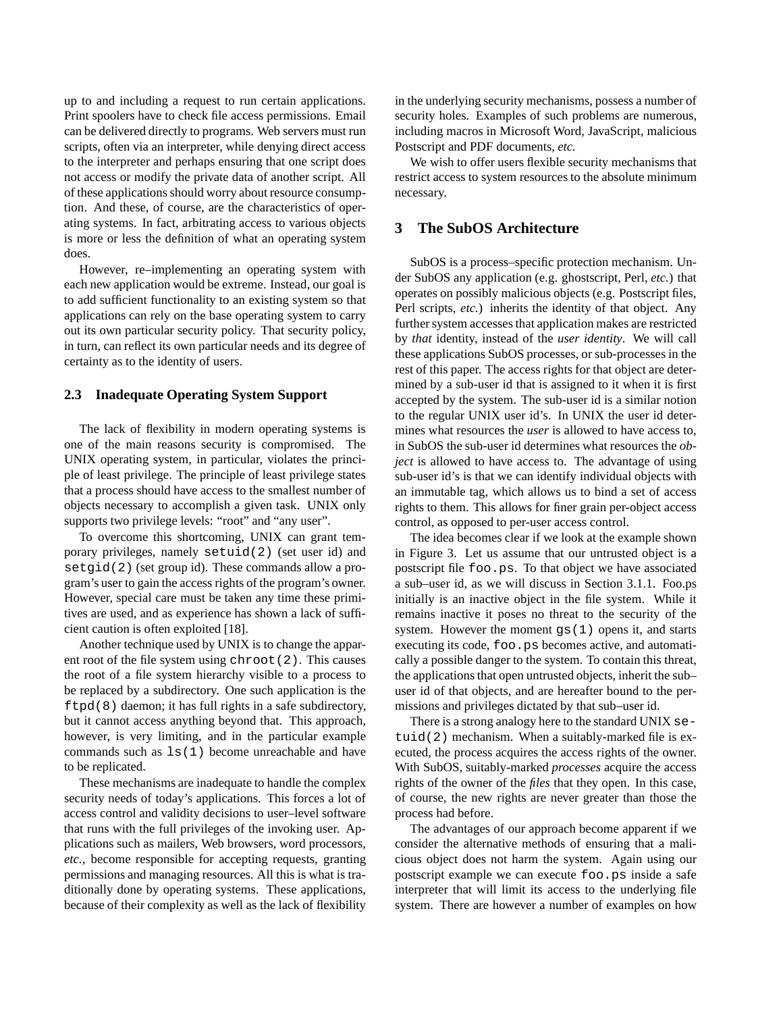up to and including a request to run certain applications. Print spoolers have to check file access permissions. Email can be delivered directly to programs. Web servers must run scripts, often via an interpreter, while denying direct access to the interpreter and perhaps ensuring that one script does not access or modify the private data of another script. All of these applications should worry about resource consumption. And these, of course, are the characteristics of operating systems. In fact, arbitrating access to various objects is more or less the definition of what an operating system does.

However, re–implementing an operating system with each new application would be extreme. Instead, our goal is to add sufficient functionality to an existing system so that applications can rely on the base operating system to carry out its own particular security policy. That security policy, in turn, can reflect its own particular needs and its degree of certainty as to the identity of users.

# **2.3 Inadequate Operating System Support**

The lack of flexibility in modern operating systems is one of the main reasons security is compromised. The UNIX operating system, in particular, violates the principle of least privilege. The principle of least privilege states that a process should have access to the smallest number of objects necessary to accomplish a given task. UNIX only supports two privilege levels: "root" and "any user".

To overcome this shortcoming, UNIX can grant temporary privileges, namely setuid(2) (set user id) and setgid(2) (set group id). These commands allow a program's user to gain the access rights of the program's owner. However, special care must be taken any time these primitives are used, and as experience has shown a lack of sufficient caution is often exploited [18].

Another technique used by UNIX is to change the apparent root of the file system using chroot(2). This causes the root of a file system hierarchy visible to a process to be replaced by a subdirectory. One such application is the ftpd(8) daemon; it has full rights in a safe subdirectory, but it cannot access anything beyond that. This approach, however, is very limiting, and in the particular example commands such as  $ls(1)$  become unreachable and have to be replicated.

These mechanisms are inadequate to handle the complex security needs of today's applications. This forces a lot of access control and validity decisions to user–level software that runs with the full privileges of the invoking user. Applications such as mailers, Web browsers, word processors, *etc.*, become responsible for accepting requests, granting permissions and managing resources. All this is what is traditionally done by operating systems. These applications, because of their complexity as well as the lack of flexibility in the underlying security mechanisms, possess a number of security holes. Examples of such problems are numerous, including macros in Microsoft Word, JavaScript, malicious Postscript and PDF documents, *etc.*

We wish to offer users flexible security mechanisms that restrict access to system resources to the absolute minimum necessary.

# **3 The SubOS Architecture**

SubOS is a process–specific protection mechanism. Under SubOS any application (e.g. ghostscript, Perl, *etc.*) that operates on possibly malicious objects (e.g. Postscript files, Perl scripts, *etc.*) inherits the identity of that object. Any further system accesses that application makes are restricted by *that* identity, instead of the *user identity*. We will call these applications SubOS processes, or sub-processes in the rest of this paper. The access rights for that object are determined by a sub-user id that is assigned to it when it is first accepted by the system. The sub-user id is a similar notion to the regular UNIX user id's. In UNIX the user id determines what resources the *user* is allowed to have access to, in SubOS the sub-user id determines what resources the *object* is allowed to have access to. The advantage of using sub-user id's is that we can identify individual objects with an immutable tag, which allows us to bind a set of access rights to them. This allows for finer grain per-object access control, as opposed to per-user access control.

The idea becomes clear if we look at the example shown in Figure 3. Let us assume that our untrusted object is a postscript file foo.ps. To that object we have associated a sub–user id, as we will discuss in Section 3.1.1. Foo.ps initially is an inactive object in the file system. While it remains inactive it poses no threat to the security of the system. However the moment  $gs(1)$  opens it, and starts executing its code, foo.ps becomes active, and automatically a possible danger to the system. To contain this threat, the applications that open untrusted objects, inherit the sub– user id of that objects, and are hereafter bound to the permissions and privileges dictated by that sub–user id.

There is a strong analogy here to the standard UNIX setuid(2) mechanism. When a suitably-marked file is executed, the process acquires the access rights of the owner. With SubOS, suitably-marked *processes* acquire the access rights of the owner of the *files* that they open. In this case, of course, the new rights are never greater than those the process had before.

The advantages of our approach become apparent if we consider the alternative methods of ensuring that a malicious object does not harm the system. Again using our postscript example we can execute foo.ps inside a safe interpreter that will limit its access to the underlying file system. There are however a number of examples on how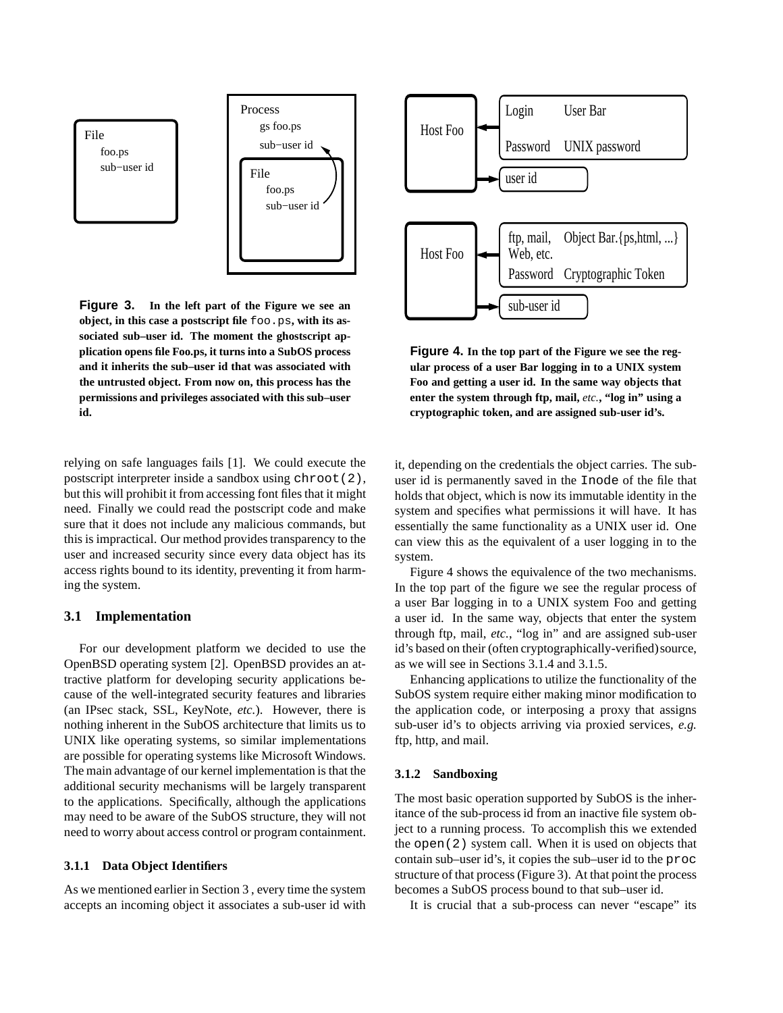

**Figure 3. In the left part of the Figure we see an object, in this case a postscript file** foo.ps**, with its associated sub–user id. The moment the ghostscript application opens file Foo.ps, it turns into a SubOS process and it inherits the sub–user id that was associated with the untrusted object. From now on, this process has the permissions and privileges associated with this sub–user id.**

relying on safe languages fails [1]. We could execute the postscript interpreter inside a sandbox using chroot(2), but this will prohibit it from accessing font files that it might need. Finally we could read the postscript code and make sure that it does not include any malicious commands, but this is impractical. Our method provides transparency to the user and increased security since every data object has its access rights bound to its identity, preventing it from harming the system.

### **3.1 Implementation**

For our development platform we decided to use the OpenBSD operating system [2]. OpenBSD provides an attractive platform for developing security applications because of the well-integrated security features and libraries (an IPsec stack, SSL, KeyNote, *etc.*). However, there is nothing inherent in the SubOS architecture that limits us to UNIX like operating systems, so similar implementations are possible for operating systems like Microsoft Windows. The main advantage of our kernel implementation is that the additional security mechanisms will be largely transparent to the applications. Specifically, although the applications may need to be aware of the SubOS structure, they will not need to worry about access control or program containment.

### **3.1.1 Data Object Identifiers**

As we mentioned earlier in Section 3 , every time the system accepts an incoming object it associates a sub-user id with



**Figure 4. In the top part of the Figure we see the regular process of a user Bar logging in to a UNIX system Foo and getting a user id. In the same way objects that enter the system through ftp, mail,** *etc.***, "log in" using a cryptographic token, and are assigned sub-user id's.**

it, depending on the credentials the object carries. The subuser id is permanently saved in the Inode of the file that holds that object, which is now its immutable identity in the system and specifies what permissions it will have. It has essentially the same functionality as a UNIX user id. One can view this as the equivalent of a user logging in to the system.

Figure 4 shows the equivalence of the two mechanisms. In the top part of the figure we see the regular process of a user Bar logging in to a UNIX system Foo and getting a user id. In the same way, objects that enter the system through ftp, mail, *etc.*, "log in" and are assigned sub-user id's based on their (often cryptographically-verified) source, as we will see in Sections 3.1.4 and 3.1.5.

Enhancing applications to utilize the functionality of the SubOS system require either making minor modification to the application code, or interposing a proxy that assigns sub-user id's to objects arriving via proxied services, *e.g.* ftp, http, and mail.

### **3.1.2 Sandboxing**

The most basic operation supported by SubOS is the inheritance of the sub-process id from an inactive file system object to a running process. To accomplish this we extended the open(2) system call. When it is used on objects that contain sub–user id's, it copies the sub–user id to the proc structure of that process (Figure 3). At that point the process becomes a SubOS process bound to that sub–user id.

It is crucial that a sub-process can never "escape" its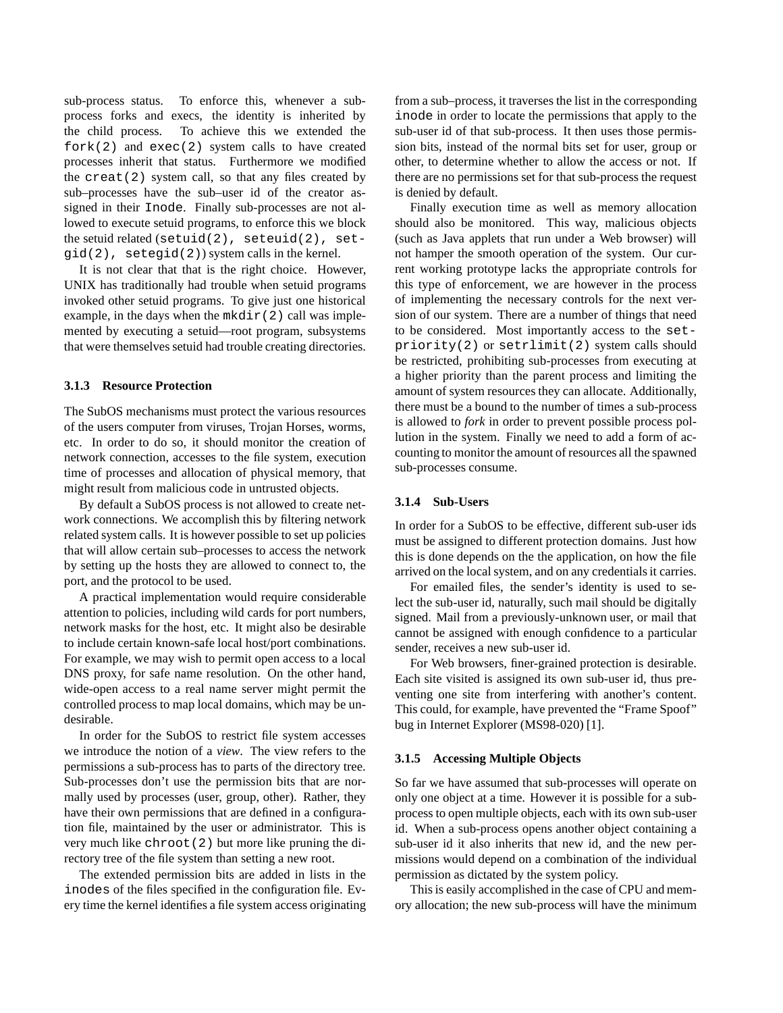sub-process status. To enforce this, whenever a subprocess forks and execs, the identity is inherited by the child process. To achieve this we extended the fork(2) and exec(2) system calls to have created processes inherit that status. Furthermore we modified the  $creat(2)$  system call, so that any files created by sub–processes have the sub–user id of the creator assigned in their Inode. Finally sub-processes are not allowed to execute setuid programs, to enforce this we block the setuid related (setuid(2), seteuid(2), setgid(2), setegid(2)) system calls in the kernel.

It is not clear that that is the right choice. However, UNIX has traditionally had trouble when setuid programs invoked other setuid programs. To give just one historical example, in the days when the mkdir $(2)$  call was implemented by executing a setuid—root program, subsystems that were themselves setuid had trouble creating directories.

#### **3.1.3 Resource Protection**

The SubOS mechanisms must protect the various resources of the users computer from viruses, Trojan Horses, worms, etc. In order to do so, it should monitor the creation of network connection, accesses to the file system, execution time of processes and allocation of physical memory, that might result from malicious code in untrusted objects.

By default a SubOS process is not allowed to create network connections. We accomplish this by filtering network related system calls. It is however possible to set up policies that will allow certain sub–processes to access the network by setting up the hosts they are allowed to connect to, the port, and the protocol to be used.

A practical implementation would require considerable attention to policies, including wild cards for port numbers, network masks for the host, etc. It might also be desirable to include certain known-safe local host/port combinations. For example, we may wish to permit open access to a local DNS proxy, for safe name resolution. On the other hand, wide-open access to a real name server might permit the controlled process to map local domains, which may be undesirable.

In order for the SubOS to restrict file system accesses we introduce the notion of a *view*. The view refers to the permissions a sub-process has to parts of the directory tree. Sub-processes don't use the permission bits that are normally used by processes (user, group, other). Rather, they have their own permissions that are defined in a configuration file, maintained by the user or administrator. This is very much like chroot(2) but more like pruning the directory tree of the file system than setting a new root.

The extended permission bits are added in lists in the inodes of the files specified in the configuration file. Every time the kernel identifies a file system access originating from a sub–process, it traverses the list in the corresponding inode in order to locate the permissions that apply to the sub-user id of that sub-process. It then uses those permission bits, instead of the normal bits set for user, group or other, to determine whether to allow the access or not. If there are no permissions set for that sub-process the request is denied by default.

Finally execution time as well as memory allocation should also be monitored. This way, malicious objects (such as Java applets that run under a Web browser) will not hamper the smooth operation of the system. Our current working prototype lacks the appropriate controls for this type of enforcement, we are however in the process of implementing the necessary controls for the next version of our system. There are a number of things that need to be considered. Most importantly access to the setpriority(2) or setrlimit(2) system calls should be restricted, prohibiting sub-processes from executing at a higher priority than the parent process and limiting the amount of system resources they can allocate. Additionally, there must be a bound to the number of times a sub-process is allowed to *fork* in order to prevent possible process pollution in the system. Finally we need to add a form of accounting to monitor the amount of resources all the spawned sub-processes consume.

#### **3.1.4 Sub-Users**

In order for a SubOS to be effective, different sub-user ids must be assigned to different protection domains. Just how this is done depends on the the application, on how the file arrived on the local system, and on any credentials it carries.

For emailed files, the sender's identity is used to select the sub-user id, naturally, such mail should be digitally signed. Mail from a previously-unknown user, or mail that cannot be assigned with enough confidence to a particular sender, receives a new sub-user id.

For Web browsers, finer-grained protection is desirable. Each site visited is assigned its own sub-user id, thus preventing one site from interfering with another's content. This could, for example, have prevented the "Frame Spoof" bug in Internet Explorer (MS98-020) [1].

#### **3.1.5 Accessing Multiple Objects**

So far we have assumed that sub-processes will operate on only one object at a time. However it is possible for a subprocess to open multiple objects, each with its own sub-user id. When a sub-process opens another object containing a sub-user id it also inherits that new id, and the new permissions would depend on a combination of the individual permission as dictated by the system policy.

This is easily accomplished in the case of CPU and memory allocation; the new sub-process will have the minimum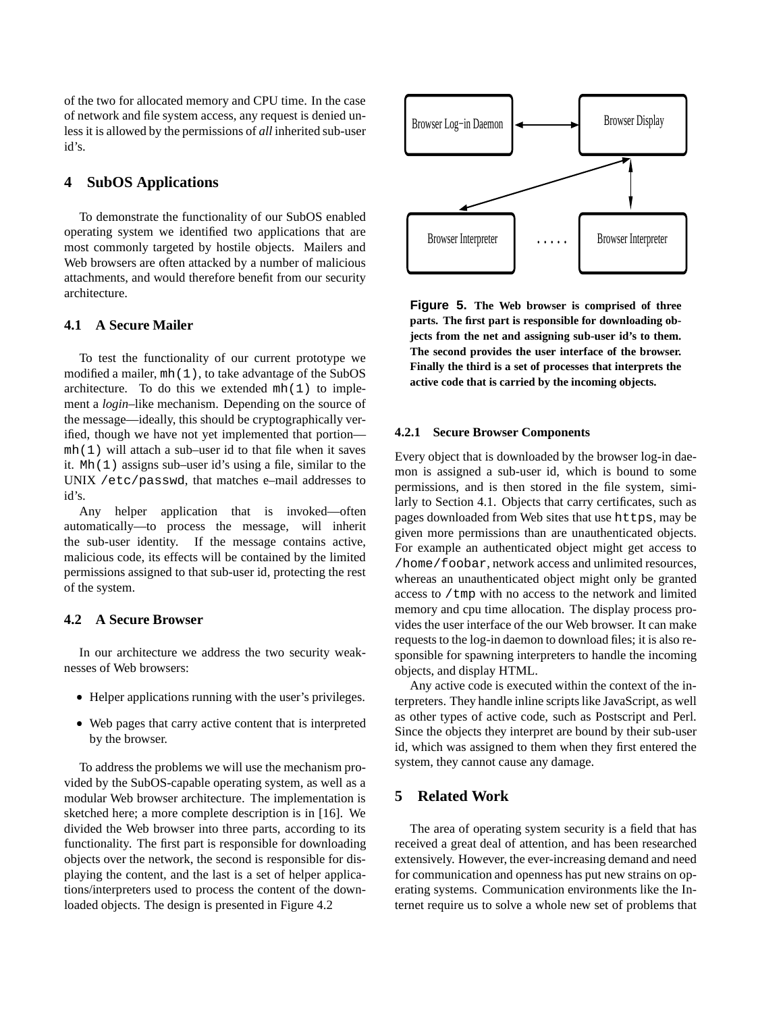of the two for allocated memory and CPU time. In the case of network and file system access, any request is denied unless it is allowed by the permissions of *all* inherited sub-user id's.

# **4 SubOS Applications**

To demonstrate the functionality of our SubOS enabled operating system we identified two applications that are most commonly targeted by hostile objects. Mailers and Web browsers are often attacked by a number of malicious attachments, and would therefore benefit from our security architecture.

# **4.1 A Secure Mailer**

To test the functionality of our current prototype we modified a mailer, mh(1), to take advantage of the SubOS architecture. To do this we extended  $mh(1)$  to implement a *login*–like mechanism. Depending on the source of the message—ideally, this should be cryptographically verified, though we have not yet implemented that portion mh(1) will attach a sub–user id to that file when it saves it. Mh(1) assigns sub–user id's using a file, similar to the UNIX /etc/passwd, that matches e–mail addresses to id's.

Any helper application that is invoked—often automatically—to process the message, will inherit the sub-user identity. If the message contains active, malicious code, its effects will be contained by the limited permissions assigned to that sub-user id, protecting the rest of the system.

# **4.2 A Secure Browser**

In our architecture we address the two security weaknesses of Web browsers:

- Helper applications running with the user's privileges.
- Web pages that carry active content that is interpreted by the browser.

To address the problems we will use the mechanism provided by the SubOS-capable operating system, as well as a modular Web browser architecture. The implementation is sketched here; a more complete description is in [16]. We divided the Web browser into three parts, according to its functionality. The first part is responsible for downloading objects over the network, the second is responsible for displaying the content, and the last is a set of helper applications/interpreters used to process the content of the downloaded objects. The design is presented in Figure 4.2



**Figure 5. The Web browser is comprised of three parts. The first part is responsible for downloading objects from the net and assigning sub-user id's to them. The second provides the user interface of the browser. Finally the third is a set of processes that interprets the active code that is carried by the incoming objects.**

#### **4.2.1 Secure Browser Components**

Every object that is downloaded by the browser log-in daemon is assigned a sub-user id, which is bound to some permissions, and is then stored in the file system, similarly to Section 4.1. Objects that carry certificates, such as pages downloaded from Web sites that use https, may be given more permissions than are unauthenticated objects. For example an authenticated object might get access to /home/foobar, network access and unlimited resources, whereas an unauthenticated object might only be granted access to /tmp with no access to the network and limited memory and cpu time allocation. The display process provides the user interface of the our Web browser. It can make requests to the log-in daemon to download files; it is also responsible for spawning interpreters to handle the incoming objects, and display HTML.

Any active code is executed within the context of the interpreters. They handle inline scripts like JavaScript, as well as other types of active code, such as Postscript and Perl. Since the objects they interpret are bound by their sub-user id, which was assigned to them when they first entered the system, they cannot cause any damage.

# **5 Related Work**

The area of operating system security is a field that has received a great deal of attention, and has been researched extensively. However, the ever-increasing demand and need for communication and openness has put new strains on operating systems. Communication environments like the Internet require us to solve a whole new set of problems that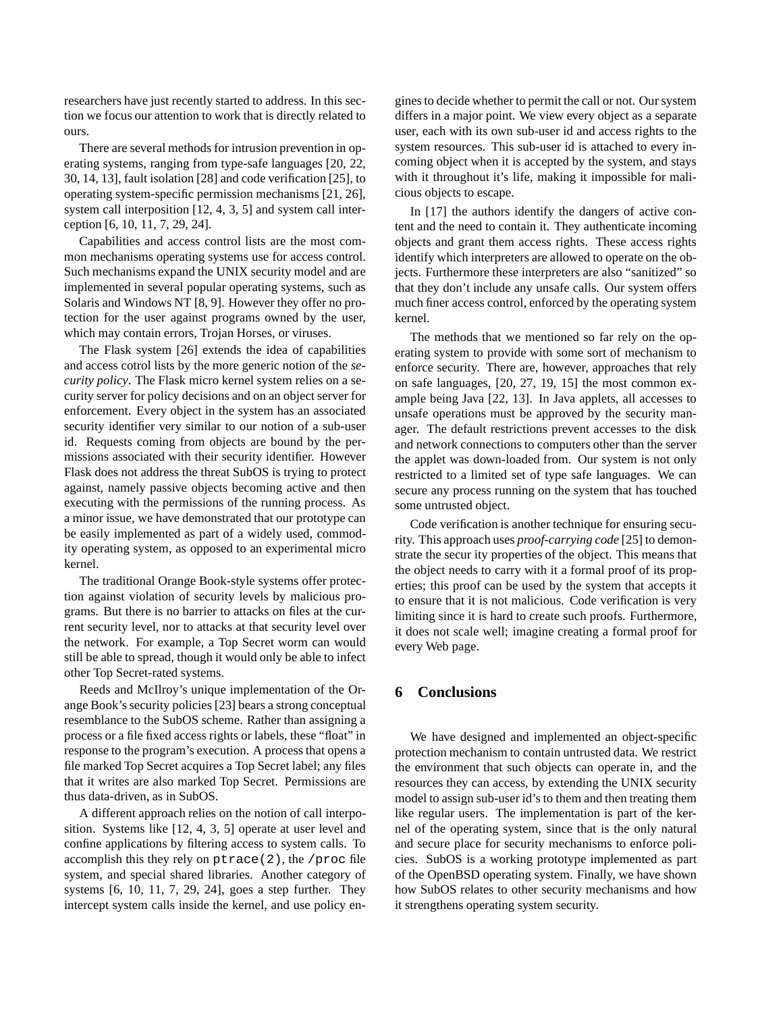researchers have just recently started to address. In this section we focus our attention to work that is directly related to ours.

There are several methods for intrusion prevention in operating systems, ranging from type-safe languages [20, 22, 30, 14, 13], fault isolation [28] and code verification [25], to operating system-specific permission mechanisms [21, 26], system call interposition [12, 4, 3, 5] and system call interception [6, 10, 11, 7, 29, 24].

Capabilities and access control lists are the most common mechanisms operating systems use for access control. Such mechanisms expand the UNIX security model and are implemented in several popular operating systems, such as Solaris and Windows NT [8, 9]. However they offer no protection for the user against programs owned by the user, which may contain errors, Trojan Horses, or viruses.

The Flask system [26] extends the idea of capabilities and access cotrol lists by the more generic notion of the *security policy*. The Flask micro kernel system relies on a security server for policy decisions and on an object server for enforcement. Every object in the system has an associated security identifier very similar to our notion of a sub-user id. Requests coming from objects are bound by the permissions associated with their security identifier. However Flask does not address the threat SubOS is trying to protect against, namely passive objects becoming active and then executing with the permissions of the running process. As a minor issue, we have demonstrated that our prototype can be easily implemented as part of a widely used, commodity operating system, as opposed to an experimental micro kernel.

The traditional Orange Book-style systems offer protection against violation of security levels by malicious programs. But there is no barrier to attacks on files at the current security level, nor to attacks at that security level over the network. For example, a Top Secret worm can would still be able to spread, though it would only be able to infect other Top Secret-rated systems.

Reeds and McIlroy's unique implementation of the Orange Book's security policies [23] bears a strong conceptual resemblance to the SubOS scheme. Rather than assigning a process or a file fixed access rights or labels, these "float" in response to the program's execution. A process that opens a file marked Top Secret acquires a Top Secret label; any files that it writes are also marked Top Secret. Permissions are thus data-driven, as in SubOS.

A different approach relies on the notion of call interposition. Systems like [12, 4, 3, 5] operate at user level and confine applications by filtering access to system calls. To accomplish this they rely on ptrace(2), the /proc file system, and special shared libraries. Another category of systems [6, 10, 11, 7, 29, 24], goes a step further. They intercept system calls inside the kernel, and use policy enginesto decide whether to permit the call or not. Oursystem differs in a major point. We view every object as a separate user, each with its own sub-user id and access rights to the system resources. This sub-user id is attached to every incoming object when it is accepted by the system, and stays with it throughout it's life, making it impossible for malicious objects to escape.

In [17] the authors identify the dangers of active content and the need to contain it. They authenticate incoming objects and grant them access rights. These access rights identify which interpreters are allowed to operate on the objects. Furthermore these interpreters are also "sanitized" so that they don't include any unsafe calls. Our system offers much finer access control, enforced by the operating system kernel.

The methods that we mentioned so far rely on the operating system to provide with some sort of mechanism to enforce security. There are, however, approaches that rely on safe languages, [20, 27, 19, 15] the most common example being Java [22, 13]. In Java applets, all accesses to unsafe operations must be approved by the security manager. The default restrictions prevent accesses to the disk and network connections to computers other than the server the applet was down-loaded from. Our system is not only restricted to a limited set of type safe languages. We can secure any process running on the system that has touched some untrusted object.

Code verification is another technique for ensuring security. This approach uses *proof-carrying code* [25] to demonstrate the secur ity properties of the object. This means that the object needs to carry with it a formal proof of its properties; this proof can be used by the system that accepts it to ensure that it is not malicious. Code verification is very limiting since it is hard to create such proofs. Furthermore, it does not scale well; imagine creating a formal proof for every Web page.

# **6 Conclusions**

We have designed and implemented an object-specific protection mechanism to contain untrusted data. We restrict the environment that such objects can operate in, and the resources they can access, by extending the UNIX security model to assign sub-user id's to them and then treating them like regular users. The implementation is part of the kernel of the operating system, since that is the only natural and secure place for security mechanisms to enforce policies. SubOS is a working prototype implemented as part of the OpenBSD operating system. Finally, we have shown how SubOS relates to other security mechanisms and how it strengthens operating system security.